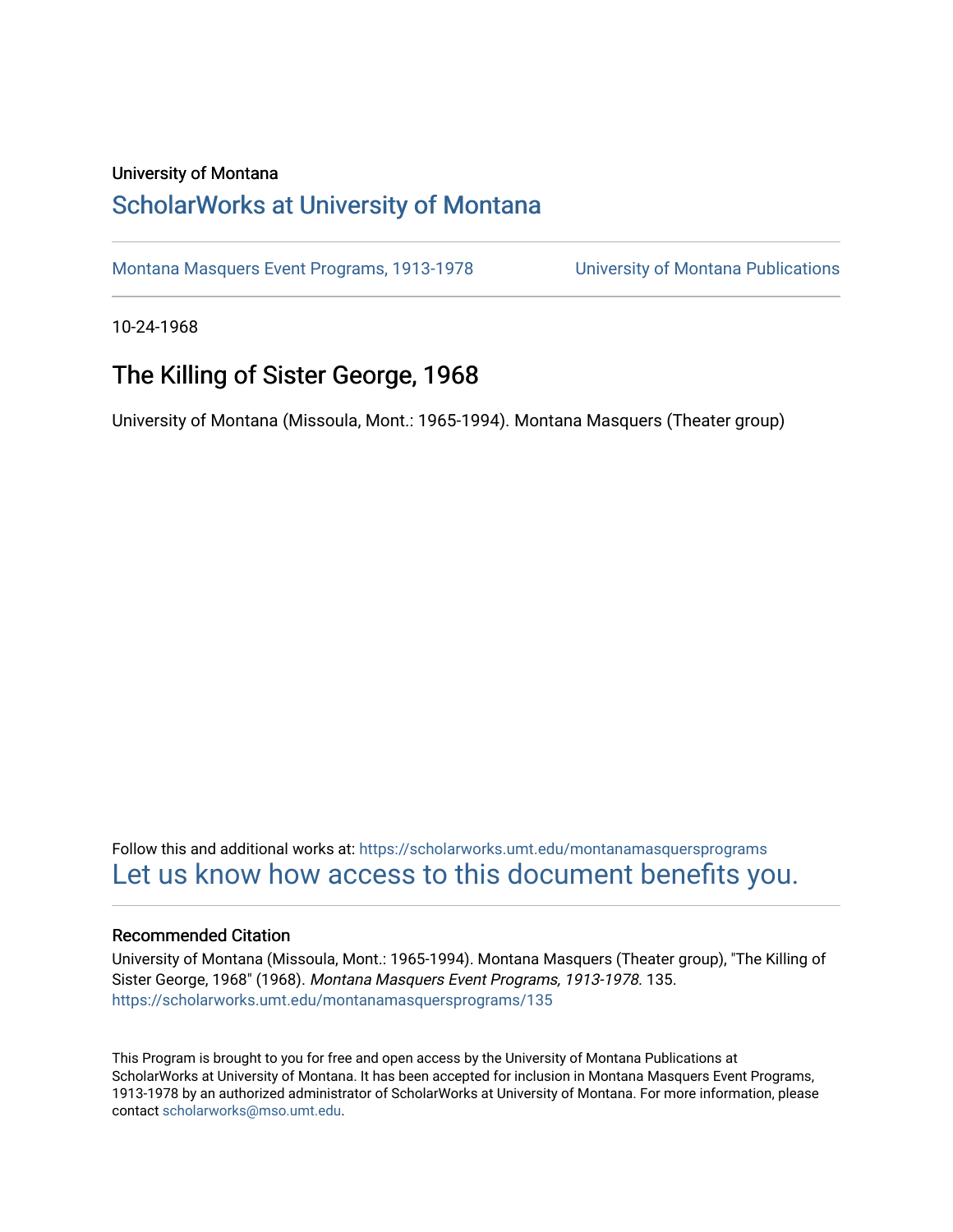## University of Montana

# [ScholarWorks at University of Montana](https://scholarworks.umt.edu/)

[Montana Masquers Event Programs, 1913-1978](https://scholarworks.umt.edu/montanamasquersprograms) [University of Montana Publications](https://scholarworks.umt.edu/umpubs) 

10-24-1968

# The Killing of Sister George, 1968

University of Montana (Missoula, Mont.: 1965-1994). Montana Masquers (Theater group)

Follow this and additional works at: [https://scholarworks.umt.edu/montanamasquersprograms](https://scholarworks.umt.edu/montanamasquersprograms?utm_source=scholarworks.umt.edu%2Fmontanamasquersprograms%2F135&utm_medium=PDF&utm_campaign=PDFCoverPages) [Let us know how access to this document benefits you.](https://goo.gl/forms/s2rGfXOLzz71qgsB2) 

### Recommended Citation

University of Montana (Missoula, Mont.: 1965-1994). Montana Masquers (Theater group), "The Killing of Sister George, 1968" (1968). Montana Masquers Event Programs, 1913-1978. 135. [https://scholarworks.umt.edu/montanamasquersprograms/135](https://scholarworks.umt.edu/montanamasquersprograms/135?utm_source=scholarworks.umt.edu%2Fmontanamasquersprograms%2F135&utm_medium=PDF&utm_campaign=PDFCoverPages)

This Program is brought to you for free and open access by the University of Montana Publications at ScholarWorks at University of Montana. It has been accepted for inclusion in Montana Masquers Event Programs, 1913-1978 by an authorized administrator of ScholarWorks at University of Montana. For more information, please contact [scholarworks@mso.umt.edu](mailto:scholarworks@mso.umt.edu).